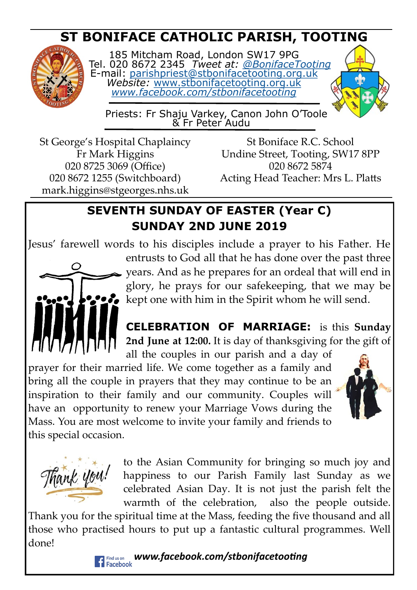# **ST BONIFACE CATHOLIC PARISH, TOOTING**



185 Mitcham Road, London SW17 9PG Tel. 020 8672 2345 *Tweet at: [@BonifaceTooting](http://twitter.com/bonifacetooting)* E-mail: [parishpriest@stbonifacetooting.org.uk](mailto:parishpriest@stbonifacetooting.org.uk) *Website:* [www.stbonifacetooting.org.uk](http://www.stbonifacetooting.org.uk) *[www.facebook.com/stbonifacetooting](http://www.facebook.com/stbonifacetooting)*



 Priests: Fr Shaju Varkey, Canon John O'Toole & Fr Peter Audu

St George's Hospital Chaplaincy Fr Mark Higgins 020 8725 3069 (Office) 020 8672 1255 (Switchboard) mark.higgins@stgeorges.nhs.uk

St Boniface R.C. School Undine Street, Tooting, SW17 8PP 020 8672 5874 Acting Head Teacher: Mrs L. Platts

# **SEVENTH SUNDAY OF EASTER (Year C) SUNDAY 2ND JUNE 2019**

Jesus' farewell words to his disciples include a prayer to his Father. He



entrusts to God all that he has done over the past three years. And as he prepares for an ordeal that will end in glory, he prays for our safekeeping, that we may be kept one with him in the Spirit whom he will send.

**CELEBRATION OF MARRIAGE:** is this **Sunday 2nd June at 12:00.** It is day of thanksgiving for the gift of

all the couples in our parish and a day of prayer for their married life. We come together as a family and bring all the couple in prayers that they may continue to be an inspiration to their family and our community. Couples will have an opportunity to renew your Marriage Vows during the Mass. You are most welcome to invite your family and friends to this special occasion.





to the Asian Community for bringing so much joy and happiness to our Parish Family last Sunday as we celebrated Asian Day. It is not just the parish felt the warmth of the celebration, also the people outside.

Thank you for the spiritual time at the Mass, feeding the five thousand and all those who practised hours to put up a fantastic cultural programmes. Well done!



*www.facebook.com/stbonifacetooting*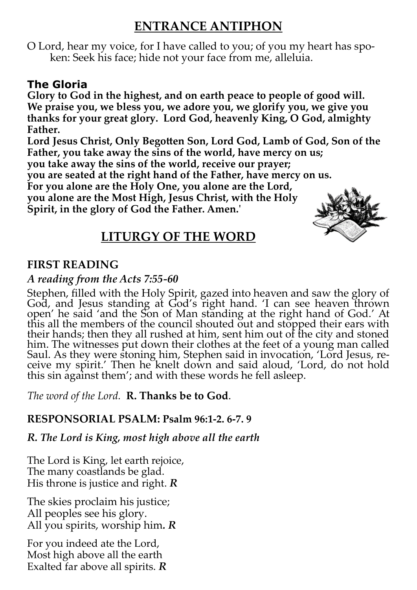# **ENTRANCE ANTIPHON**

O Lord, hear my voice, for I have called to you; of you my heart has spoken: Seek his face; hide not your face from me, alleluia.

## **The Gloria**

**Glory to God in the highest, and on earth peace to people of good will. We praise you, we bless you, we adore you, we glorify you, we give you thanks for your great glory. Lord God, heavenly King, O God, almighty Father.** 

**Lord Jesus Christ, Only Begotten Son, Lord God, Lamb of God, Son of the Father, you take away the sins of the world, have mercy on us; you take away the sins of the world, receive our prayer;**

**you are seated at the right hand of the Father, have mercy on us.** 

**For you alone are the Holy One, you alone are the Lord, you alone are the Most High, Jesus Christ, with the Holy Spirit, in the glory of God the Father. Amen.'**



# **LITURGY OF THE WORD**

# **FIRST READING**

#### *A reading from the Acts 7:55-60*

Stephen, filled with the Holy Spirit, gazed into heaven and saw the glory of God, and Jesus standing at God's right hand. 'I can see heaven thrown open' he said 'and the Son of Man standing at the right hand of God.' At this all the members of the council shouted out and stopped their ears with their hands; then they all rushed at him, sent him out of the city and stoned him. The witnesses put down their clothes at the feet of a young man called Saul. As they were stoning him, Stephen said in invocation, 'Lord Jesus, receive my spirit.' Then he knelt down and said aloud, 'Lord, do not hold this sin against them'; and with these words he fell asleep.

*The word of the Lord.* **R. Thanks be to God**.

#### **RESPONSORIAL PSALM: Psalm 96:1-2. 6-7. 9**

*R. The Lord is King, most high above all the earth*

The Lord is King, let earth rejoice, The many coastlands be glad. His throne is justice and right. *R*

The skies proclaim his justice; All peoples see his glory. All you spirits, worship him*. R*

For you indeed ate the Lord, Most high above all the earth Exalted far above all spirits. *R*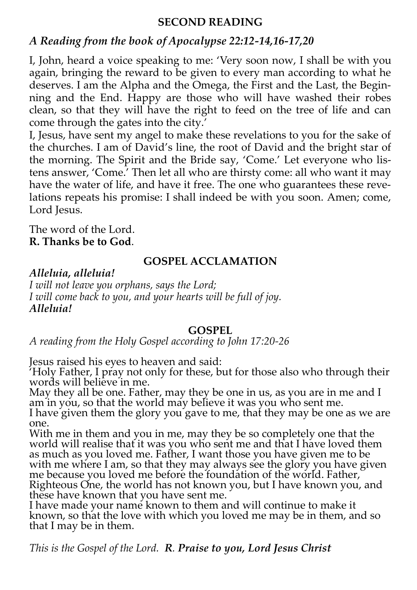#### **SECOND READING**

### *A Reading from the book of Apocalypse 22:12-14,16-17,20*

I, John, heard a voice speaking to me: 'Very soon now, I shall be with you again, bringing the reward to be given to every man according to what he deserves. I am the Alpha and the Omega, the First and the Last, the Beginning and the End. Happy are those who will have washed their robes clean, so that they will have the right to feed on the tree of life and can come through the gates into the city.'

I, Jesus, have sent my angel to make these revelations to you for the sake of the churches. I am of David's line, the root of David and the bright star of the morning. The Spirit and the Bride say, 'Come.' Let everyone who listens answer, 'Come.' Then let all who are thirsty come: all who want it may have the water of life, and have it free. The one who guarantees these revelations repeats his promise: I shall indeed be with you soon. Amen; come, Lord Jesus.

The word of the Lord. **R. Thanks be to God**.

#### **GOSPEL ACCLAMATION**

*Alleluia, alleluia!* 

*I will not leave you orphans, says the Lord; I will come back to you, and your hearts will be full of joy. Alleluia!*

#### **GOSPEL**

*A reading from the Holy Gospel according to John 17:20-26*

Jesus raised his eyes to heaven and said:

'Holy Father, I pray not only for these, but for those also who through their words will believe in me.

May they all be one. Father, may they be one in us, as you are in me and I am in you, so that the world may believe it was you who sent me. I have given them the glory you gave to me, that they may be one as we are one.

With me in them and you in me, may they be so completely one that the world will realise that it was you who sent me and that I have loved them as much as you loved me. Father, I want those you have given me to be with me where I am, so that they may always see the glory you have given me because you loved me before the foundation of the world. Father, Righteous One, the world has not known you, but I have known you, and these have known that you have sent me.

I have made your name known to them and will continue to make it known, so that the love with which you loved me may be in them, and so that I may be in them.

*This is the Gospel of the Lord. R. Praise to you, Lord Jesus Christ*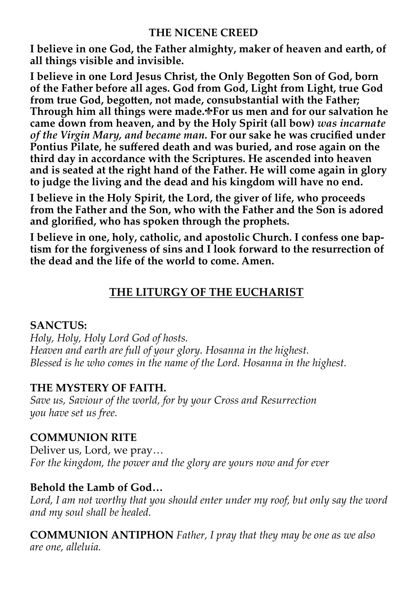#### **THE NICENE CREED**

**I believe in one God, the Father almighty, maker of heaven and earth, of all things visible and invisible.**

**I believe in one Lord Jesus Christ, the Only Begotten Son of God, born of the Father before all ages. God from God, Light from Light, true God from true God, begotten, not made, consubstantial with the Father; Through him all things were made.
For us men and for our salvation he came down from heaven, and by the Holy Spirit (all bow)** *was incarnate of the Virgin Mary, and became man.* **For our sake he was crucified under Pontius Pilate, he suffered death and was buried, and rose again on the third day in accordance with the Scriptures. He ascended into heaven and is seated at the right hand of the Father. He will come again in glory to judge the living and the dead and his kingdom will have no end.** 

**I believe in the Holy Spirit, the Lord, the giver of life, who proceeds from the Father and the Son, who with the Father and the Son is adored and glorified, who has spoken through the prophets.**

**I believe in one, holy, catholic, and apostolic Church. I confess one baptism for the forgiveness of sins and I look forward to the resurrection of the dead and the life of the world to come. Amen.** 

# **THE LITURGY OF THE EUCHARIST**

### **SANCTUS:**

*Holy, Holy, Holy Lord God of hosts. Heaven and earth are full of your glory. Hosanna in the highest. Blessed is he who comes in the name of the Lord. Hosanna in the highest.* 

# **THE MYSTERY OF FAITH.**

*Save us, Saviour of the world, for by your Cross and Resurrection you have set us free.* 

### **COMMUNION RITE**

Deliver us, Lord, we pray… *For the kingdom, the power and the glory are yours now and for ever*

# **Behold the Lamb of God…**

*Lord, I am not worthy that you should enter under my roof, but only say the word and my soul shall be healed.*

**COMMUNION ANTIPHON** *Father, I pray that they may be one as we also are one, alleluia.*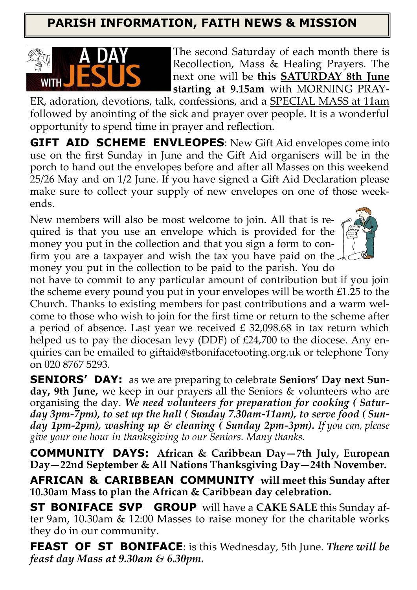# **PARISH INFORMATION, FAITH NEWS & MISSION**



The second Saturday of each month there is Recollection, Mass & Healing Prayers. The next one will be **this SATURDAY 8th June starting at 9.15am** with MORNING PRAY-

ER, adoration, devotions, talk, confessions, and a SPECIAL MASS at 11am followed by anointing of the sick and prayer over people. It is a wonderful opportunity to spend time in prayer and reflection.

**GIFT AID SCHEME ENVLEOPES:** New Gift Aid envelopes come into use on the first Sunday in June and the Gift Aid organisers will be in the porch to hand out the envelopes before and after all Masses on this weekend 25/26 May and on 1/2 June. If you have signed a Gift Aid Declaration please make sure to collect your supply of new envelopes on one of those weekends.

New members will also be most welcome to join. All that is required is that you use an envelope which is provided for the money you put in the collection and that you sign a form to confirm you are a taxpayer and wish the tax you have paid on the money you put in the collection to be paid to the parish. You do



not have to commit to any particular amount of contribution but if you join the scheme every pound you put in your envelopes will be worth £1.25 to the Church. Thanks to existing members for past contributions and a warm welcome to those who wish to join for the first time or return to the scheme after a period of absence. Last year we received  $\textsterling}$  32,098.68 in tax return which helped us to pay the diocesan levy (DDF) of £24,700 to the diocese. Any enquiries can be emailed to giftaid@stbonifacetooting.org.uk or telephone Tony on 020 8767 5293.

**SENIORS' DAY:** as we are preparing to celebrate **Seniors' Day next Sunday, 9th June,** we keep in our prayers all the Seniors & volunteers who are organising the day. *We need volunteers for preparation for cooking ( Saturday 3pm-7pm), to set up the hall ( Sunday 7.30am-11am), to serve food ( Sunday 1pm-2pm), washing up & cleaning ( Sunday 2pm-3pm). If you can, please give your one hour in thanksgiving to our Seniors. Many thanks.* 

**COMMUNITY DAYS: African & Caribbean Day—7th July, European Day—22nd September & All Nations Thanksgiving Day—24th November.**

**AFRICAN & CARIBBEAN COMMUNITY will meet this Sunday after 10.30am Mass to plan the African & Caribbean day celebration.**

**ST BONIFACE SVP GROUP** will have a **CAKE SALE** this Sunday after 9am, 10.30am & 12:00 Masses to raise money for the charitable works they do in our community.

**FEAST OF ST BONIFACE**: is this Wednesday, 5th June. *There will be feast day Mass at 9.30am & 6.30pm.*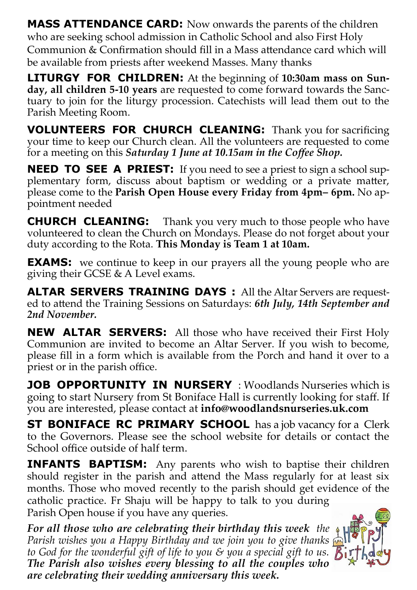**MASS ATTENDANCE CARD:** Now onwards the parents of the children who are seeking school admission in Catholic School and also First Holy Communion & Confirmation should fill in a Mass attendance card which will be available from priests after weekend Masses. Many thanks

**LITURGY FOR CHILDREN:** At the beginning of **10:30am mass on Sunday, all children 5-10 years** are requested to come forward towards the Sanctuary to join for the liturgy procession. Catechists will lead them out to the Parish Meeting Room.

**VOLUNTEERS FOR CHURCH CLEANING:** Thank you for sacrificing your time to keep our Church clean. All the volunteers are requested to come for a meeting on this *Saturday 1 June at 10.15am in the Coffee Shop.*

**NEED TO SEE A PRIEST:** If you need to see a priest to sign a school supplementary form, discuss about baptism or wedding or a private matter, please come to the **Parish Open House every Friday from 4pm– 6pm.** No appointment needed

**CHURCH CLEANING:** Thank you very much to those people who have volunteered to clean the Church on Mondays. Please do not forget about your duty according to the Rota. **This Monday is Team 1 at 10am.**

**EXAMS:** we continue to keep in our prayers all the young people who are giving their GCSE & A Level exams.

**ALTAR SERVERS TRAINING DAYS :** All the Altar Servers are requested to attend the Training Sessions on Saturdays: *6th July, 14th September and 2nd November.* 

**NEW ALTAR SERVERS:** All those who have received their First Holy Communion are invited to become an Altar Server. If you wish to become, please fill in a form which is available from the Porch and hand it over to a priest or in the parish office.

**JOB OPPORTUNITY IN NURSERY** : Woodlands Nurseries which is going to start Nursery from St Boniface Hall is currently looking for staff. If you are interested, please contact at **info@woodlandsnurseries.uk.com**

**ST BONIFACE RC PRIMARY SCHOOL** has a job vacancy for a Clerk to the Governors. Please see the school website for details or contact the School office outside of half term.

**INFANTS BAPTISM:** Any parents who wish to baptise their children should register in the parish and attend the Mass regularly for at least six months. Those who moved recently to the parish should get evidence of the catholic practice. Fr Shaju will be happy to talk to you during Parish Open house if you have any queries.

*For all those who are celebrating their birthday this week the Parish wishes you a Happy Birthday and we join you to give thanks to God for the wonderful gift of life to you & you a special gift to us.* Bight *The Parish also wishes every blessing to all the couples who are celebrating their wedding anniversary this week.*

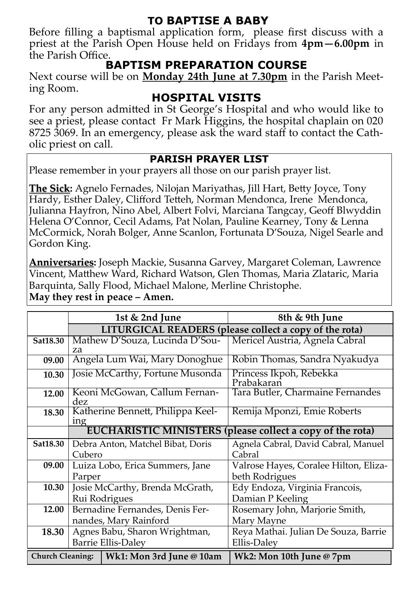## **TO BAPTISE A BABY**

Before filling a baptismal application form, please first discuss with a priest at the Parish Open House held on Fridays from **4pm—6.00pm** in the Parish Office.

#### **BAPTISM PREPARATION COURSE**

Next course will be on **Monday 24th June at 7.30pm** in the Parish Meeting Room.

# **HOSPITAL VISITS**

For any person admitted in St George's Hospital and who would like to see a priest, please contact Fr Mark Higgins, the hospital chaplain on 020 8725 3069. In an emergency, please ask the ward staff to contact the Catholic priest on call.

#### **PARISH PRAYER LIST**

Please remember in your prayers all those on our parish prayer list.

**The Sick:** Agnelo Fernades, Nilojan Mariyathas, Jill Hart, Betty Joyce, Tony Hardy, Esther Daley, Clifford Tetteh, Norman Mendonca, Irene Mendonca, Julianna Hayfron, Nino Abel, Albert Folvi, Marciana Tangcay, Geoff Blwyddin Helena O'Connor, Cecil Adams, Pat Nolan, Pauline Kearney, Tony & Lenna McCormick, Norah Bolger, Anne Scanlon, Fortunata D'Souza, Nigel Searle and Gordon King.

**Anniversaries:** Joseph Mackie, Susanna Garvey, Margaret Coleman, Lawrence Vincent, Matthew Ward, Richard Watson, Glen Thomas, Maria Zlataric, Maria Barquinta, Sally Flood, Michael Malone, Merline Christophe. **May they rest in peace – Amen.**

|          |                                                        | 1st & 2nd June                              | 8th & 9th June                                                   |  |  |
|----------|--------------------------------------------------------|---------------------------------------------|------------------------------------------------------------------|--|--|
|          | LITURGICAL READERS (please collect a copy of the rota) |                                             |                                                                  |  |  |
| Sat18.30 |                                                        | Mathew D'Souza, Lucinda D'Sou-              | Mericel Austria, Agnela Cabral                                   |  |  |
|          | za                                                     |                                             |                                                                  |  |  |
| 09.00    |                                                        | Angela Lum Wai, Mary Donoghue               | Robin Thomas, Sandra Nyakudya                                    |  |  |
| 10.30    |                                                        | Josie McCarthy, Fortune Musonda             | Princess Ikpoh, Rebekka                                          |  |  |
|          |                                                        |                                             | Prabakaran                                                       |  |  |
| 12.00    |                                                        | Keoni McGowan, Callum Fernan-               | Tara Butler, Charmaine Fernandes                                 |  |  |
|          | dez                                                    |                                             |                                                                  |  |  |
| 18.30    |                                                        | Katherine Bennett, Philippa Keel-           | Remija Mponzi, Emie Roberts                                      |  |  |
|          | ing                                                    |                                             |                                                                  |  |  |
|          |                                                        |                                             | <b>EUCHARISTIC MINISTERS (please collect a copy of the rota)</b> |  |  |
| Sat18.30 |                                                        | Debra Anton, Matchel Bibat, Doris           | Agnela Cabral, David Cabral, Manuel                              |  |  |
|          | Cubero                                                 |                                             | Cabral                                                           |  |  |
| 09.00    |                                                        | Luiza Lobo, Erica Summers, Jane             | Valrose Hayes, Coralee Hilton, Eliza-                            |  |  |
|          | Parper                                                 |                                             | beth Rodrigues                                                   |  |  |
| 10.30    | Josie McCarthy, Brenda McGrath,                        |                                             | Edy Endoza, Virginia Francois,                                   |  |  |
|          | Rui Rodrigues                                          |                                             | Damian P Keeling                                                 |  |  |
| 12.00    | Bernadine Fernandes, Denis Fer-                        |                                             | Rosemary John, Marjorie Smith,                                   |  |  |
|          | nandes, Mary Rainford                                  |                                             | Mary Mayne                                                       |  |  |
|          |                                                        |                                             |                                                                  |  |  |
| 18.30    | Agnes Babu, Sharon Wrightman,                          |                                             | Reya Mathai. Julian De Souza, Barrie                             |  |  |
|          |                                                        | <b>Barrie Ellis-Daley</b>                   | Ellis-Daley                                                      |  |  |
|          |                                                        | Church Cleaning:   Wk1: Mon 3rd June @ 10am | Wk2: Mon 10th June $@$ 7pm                                       |  |  |